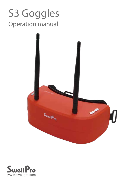# S3 Goggles Operation manual



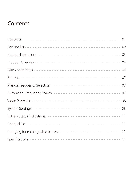# **Contents**

| Manual Frequency Selection ---------------------------------    |
|-----------------------------------------------------------------|
| Automatic Frequency Search ---------------------------------07  |
|                                                                 |
|                                                                 |
|                                                                 |
|                                                                 |
| Charging for rechargeable battery -------------------------- 11 |
|                                                                 |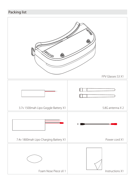# Packing list

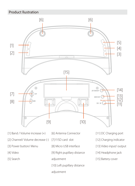# Product llustration



- [1] Band / Volume increase (+)
- [2] Channel/ Volume decrease (-) [7] F/SD card slot
- [3] Power button/ Menu
- [4] Video
- [5] Search
- [6] Antenna Connector
- - [8] Micro USB interface
	- [9] Right pupillary distance
	- adjustment
	- [10] Left pupillary distance

#### adjustment

- [11] DC Charging port
- [12] Charging indicator
- [13] Video input/ output
- [14] Headphone jack
- [15] Battery cover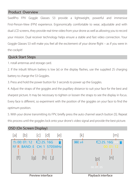#### Product Overview

SwellPro FPV Goggle Glasses S3 provide a lightweight, powerful and immersive First-Person-View (FPV) experience. Ergonomically comfortable to wear, adjustable and with dual LCD screens, they provide real-time video from your drone as well as allowing you to record your mission. Dual receiver technology helps ensure a stable and fast video connection. Your Goggle Glasses S3 will make you feel all the excitement of your drone flight – as if you were in the cockpit!

#### Quick Start Steps

1. nstall antennas and storage card.

2. If the inbuilt lithium battery is low [e] or the display flashes, use the supplied 2S charging battery to charge the S3 Goggles.

3. Press and hold the power button for 3 seconds to power up the Goggles.

4. Adjust the straps of the goggles and the pupillary distance to suit your face for the best and sharpest picture. It may be necessary to tighten or loosen the straps to see the display in focus. Every face is different, so experiment with the position of the goggles on your face to find the optimum position.

5. With your drone transmitting its FPV, briefly press the auto channel search button [5]. Repeat this process until the goggles lock onto your drone's video signal and provide the best picture.

#### OSD (On Screen Display)



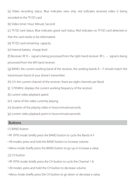[a] Video recording status: Blue indicates view only, red indicates received video is being recorded to the TF/SD card.

[b] Video timer: Hour: Minute: Second.

[c] TF/SD card status: Blue indicates good card status, Red indicates no TF/SD card detected or that the card needs to be reformatted.

[d] TF/SD card remaining capacity

[e] Internal battery charge level

[f] Receiver: RF R – signal is being processed from the right-hand receiver. RF L – signal is being processed from the left-hand receiver.

[g] BAND: the current working band of the receiver, the working bands A – F should match the transmission band of your drone's transmitter.

[h] CH: the current channel of the receiver, there are eight channels per Band.

[i] 5705MHz: displays the current working frequency of the receiver

[k] current video playback speed

[m] name of the video currently playing.

[n] duration of the playing video in hours: minutes: seconds.

[p] current video playback point in hours:minutes:seconds.

#### Buttons

[1] BAND button

- RF (FPV) mode: briefly press the BAND button to cycle the Bands A-F
- All modes: press and hold the BAND button to increase volume.
- Menu mode: briefly press the BAND button to go up or increase a value.

[2] CH button

- RF (FPV) mode: briefly press the CH button to cycle the Channel 1-8
- All modes: press and hold the CH button to decrease volume.
- Menu mode: briefly press the CH button to go down or decrease a value.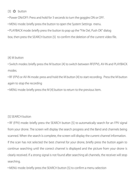#### $[3]$   $(b)$  button

• Power ON/OFF: Press and hold for 3 seconds to turn the goggles ON or OFF.

• MENU mode: briefly press the button to open the System Settings menu.

• PLAYBACK mode: briefly press the button to pop up the "File Del, Push OK" dialog

box, then press the SEARCH button [5] to confirm the deletion of the current video file.

#### [4] M button

• Switch modes: briefly press the M button [4] to switch between RF(FPV), AV-IN and PLAYBACK modes.

• RF (FPV) or AV-IN mode: press and hold the M button [4] to start recording. Press the M button again to stop the recording

• MENU mode: briefly press the M [4] button to return to the previous item.

#### [5] SEARCH button

• RF (FPV) mode: briefly press the SEARCH button [5] to automatically search for an FPV signal from your drone. The screen will display the search progress and the Band and channels being scanned. When the search is complete, the screen will display the current channel information. If the scan has not selected the best channel for your drone, briefly press the button again to continue searching until the correct channel is displayed and the picture from your drone is clearly received. If a strong signal is not found after searching all channels, the receiver will stop searching.

• MENU mode: briefly press the SEARCH button [5] to confirm a menu selection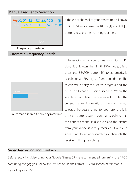### Manual Frequency Selection



If the exact channel of your transmitter is known, in RF (FPV) mode, use the BAND [1] and CH [2] buttons to select the matching channel .

Frequency interface

#### Automatic Frequency Search

| Search |  |
|--------|--|
|        |  |

Automatic search frequency interface

If the exact channel your drone transmits its FPV signal is unknown, then in RF (FPV) mode, briefly press the SEARCH button [5] to automatically search for an FPV signal from your drone. The screen will display the search progress and the bands and channels being scanned. When the search is complete, the screen will display the current channel information. If the scan has not selected the best channel for your drone, briefly press the button again to continue searching until the correct channel is displayed and the picture from your drone is clearly received. If a strong signal is not found after searching all channels, the receiver will stop searching.

#### Video Recording and Playback

Before recording video using your Goggle Glasses S3, we recommended formatting the TF/SD card using the goggles. Follow the instructions in the Format SD Card section of this manual. Recording your FPV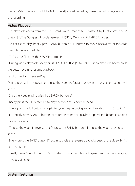•Record Video: press and hold the M button [4] to start recording. Press the button again to stop the recording

#### Video Playback

• To playback videos from the TF/SD card, switch modes to PLAYBACK by briefly press the M button [4]. The Goggles will cycle between RF(FPV), AV-IN and PLAYBACK modes.

• Select file to play: briefly press BAND button or CH button to move backwards or forwards through the recorded files

• To Play the file press the SEARCH button [5].

• During video playback, briefly press SEARCH button [5] to PAUSE video playback, briefly press the button again to resume playback.

Fast Forward and Reverse Play

During playback, it is possible to play the video in forward or reverse at 2x, 4x and 8x normal speed.

• Start the video playing with the SEARCH button [5].

• Briefly press the CH button [2] to play the video at 2x normal speed

• Briefly press the CH button [2] again to cycle the playback speed of the video 2x, 4x, 8x… 2x, 4x,

8x… Briefly press SEARCH button [5] to return to normal playback speed and before changing playback direction

• To play the video in reverse, briefly press the BAND button [1] to play the video at 2x reverse speed

• Briefly press the BAND button [1] again to cycle the reverse playback speed of the video 2x, 4x, 8x… 2x, 4x, 8x…

• Briefly press SEARCH button [5] to return to normal playback speed and before changing playback direction

#### System Settings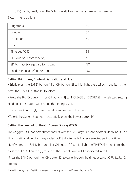In RF (FPV) mode, briefly press the M button [4] to enter the System Settings menu.

System menu options:

| <b>Brightness</b>                  | 50  |
|------------------------------------|-----|
| Contrast                           | 50  |
| Saturation                         | 50  |
| Hue                                | 50  |
| Time out / OSD                     | 3S  |
| REC Audio/ Record (on/ off)        | YFS |
| SD Format/ Storage card formatting | NO  |
| Load Def/ Load default settings    | NΟ  |

#### Setting Brightness, Contrast, Saturation and Hue:

• Briefly press the BAND button [1] or CH button [2] to highlight the desired menu item, then press the SEARCH button [5] to select.

• Press the BAND button [1] or CH button [2] to INCREASE or DECREASE the selected setting.

Holding either button will change the setting faster.

- Press the M button [4] to set the value and return to the menu.
- To exit the System Settings menu, briefly press the Power button [3]

#### Setting the timeout for the On Screen Display (OSD):

The Goggles' OSD can sometimes conflict with the OSD of your drone or other video input. The

Timout setting allows for the goggles' OSD to be turned off after a selected period of time.

• Briefly press the BAND button [1] or CH button [2] to highlight the TIMEOUT menu item, then press the SEARCH button [5] to select. The current value will be indicated in red.

• Press the BAND button [1] or CH button [2] to cycle through the timeout values OFF, 3s, 5s, 10s, 20s 30s.

To exit the System Settings menu, briefly press the Power button [3].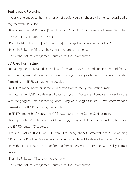#### Setting Audio Recording:

If your drone supports the transmission of audio, you can choose whether to record audio together with FPV video.

• Briefly press the BAND button [1] or CH button [2] to highlight the Rec Audio menu item, then press the SEARCH button [5] to select.

- Press the BAND button [1] or CH button [2] to change the value to either ON or OFF.
- Press the M button [4] to set the value and return to the menu.
- To exit the System Settings menu, briefly press the Power button [3].

# SD Card Formatting

Formatting the TF/SD card deletes all data from your TF/SD card and prepares the card for use with the goggles. Before recording video using your Goggle Glasses S3, we recommended formatting the TF/SD card using the goggles.

• n RF (FPV) mode, briefly press the M [4] button to enter the System Settings menu.

Formatting the TF/SD card deletes all data from your TF/SD card and prepares the card for use with the goggles. Before recording video using your Goggle Glasses S3, we recommended formatting the TF/SD card using the goggles.

• n RF (FPV) mode, briefly press the M [4] button to enter the System Settings menu.

• Briefly press the BAND button [1] or CH button [2] to highlight SD Format menu item, then press the SEARCH button [5] to select.

• Press the BAND button [1] or CH button [2] to change the SD Format value to YES. A warning "SD Format Sel!" will be displayed warning you that all files will be deleted from your SD card.

• Press the SEARCH button [5] to confirm and format the SD Card. The screen will display "Format Success".

- Press the M button [4] to return to the menu.
- To exit the System Settings menu, briefly press the Power button [3].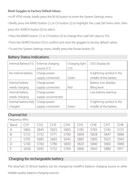#### Reset Goggles to Factory Default Values

- In RF (FPV) mode, briefly press the M [4] button to enter the System Settings menu.
- Briefly press the BAND button [1] or CH button [2] to highlight the Load Def menu item, then

press the SEARCH button [5] to select.

- Press the BAND button [1] or CH button [2] to change the Load Def value to YES.
- Press the SEARCH button [5] to confirm and reset the goggles to factory default values.
- To exit the System Settings menu, briefly press the Power button [3].

| Internal Battery[15]   | External charging  | Charging light | OSD Display [e]           |
|------------------------|--------------------|----------------|---------------------------|
|                        | source [11]        | $[12]$         |                           |
| No internal battery    | Charge power       |                | A lightning symbol in the |
|                        | supply connected   | Green          | middle of the battery     |
| Internal battery       | Charge power       |                | Battery icon displays     |
| needs charging         | supply connected   | Red            | filling level             |
| Internal battery       | Charge power       |                | Low battery warning       |
| needs charging         | supply unconnected |                |                           |
| Internal battery fully | Charge power       |                | A lightning symbol in the |
| charged                | supply connected   | Green          | middle of the battery     |

# Battery Status Indications

# Channel list

Frequency: MHz

| Band         | CH1  | CH2  | CH3  | CH4  | CH <sub>5</sub> | CH <sub>6</sub> | CH <sub>7</sub> | CH8  |
|--------------|------|------|------|------|-----------------|-----------------|-----------------|------|
| А            | 5865 | 5845 | 5825 | 5805 | 5785            | 5765            | 5745            | 5725 |
| B            | 5733 | 5752 | 5771 | 5790 | 5809            | 5828            | 5847            | 5866 |
|              | 5705 | 5685 | 5665 | 5645 | 5885            | 5905            | 5925            | 5945 |
| $\mathsf{D}$ | 5740 | 5760 | 5780 | 5800 | 5820            | 5840            | 5860            | 5880 |
|              | 5658 | 5695 | 5732 | 5769 | 5806            | 5843            | 5880            | 5917 |

# Charging for rechargeable battery

The attached 2S lithium battery can be charged by SwellPro balance charging source or other

reliable quality balance charging sources.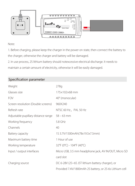

#### Note:

1. Before charging, please keep the charger in the power on state, then connect the battery to the charger, otherwise the charger and battery will be damaged.

2. In use process, 2S lithium battery should notexcessive electrical discharge. It needs to

maintain a certain amount of electricity, otherwise it will be easily damaged.

# Specification parameter

| Weight                              | 278q                                                    |
|-------------------------------------|---------------------------------------------------------|
| Glasses size                        | 175×102×68 mm                                           |
| <b>FOV</b>                          | 40° (monocular)                                         |
| Screen resolution (Double screens)  | 960X240                                                 |
| Refresh rate                        | NTSC 60 Hz, PAL 50 Hz                                   |
| Adjustable pupillary distance range | $58 - 63$ mm                                            |
| Working frequency                   | 5.8 GHz                                                 |
| Channels                            | 40                                                      |
| Battery capacity                    | 1S 3.7V/1500mAh(78x19.5x7.5mm)                          |
| Maximum battery time                | 1 Hour of use                                           |
| Working temperature                 | 32°F (0°C) - 104°F (40°C)                               |
| Input / output interfaces           | Micro USB, 3.5 mm headphone jack, AV IN/OUT, Micro SD   |
|                                     | card slot                                               |
| Charging source                     | DC 6-28V (2S~6S JST lithium battery charger), or        |
|                                     | Provided 7.4V/1800mAh 2S battery, or 2S-6s Lithium cell |